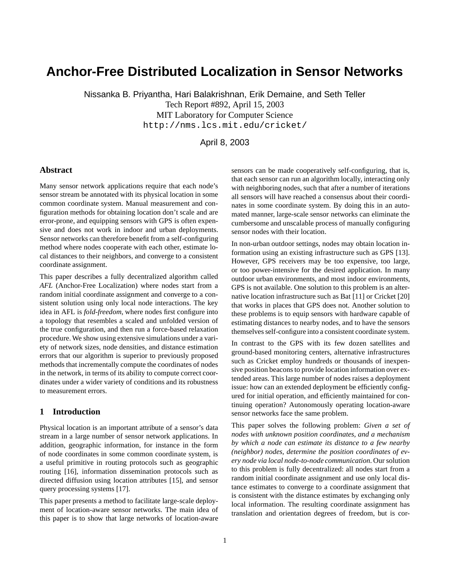# **Anchor-Free Distributed Localization in Sensor Networks**

Nissanka B. Priyantha, Hari Balakrishnan, Erik Demaine, and Seth Teller Tech Report #892, April 15, 2003 MIT Laboratory for Computer Science http://nms.lcs.mit.edu/cricket/

# April 8, 2003

# **Abstract**

Many sensor network applications require that each node's sensor stream be annotated with its physical location in some common coordinate system. Manual measurement and configuration methods for obtaining location don't scale and are error-prone, and equipping sensors with GPS is often expensive and does not work in indoor and urban deployments. Sensor networks can therefore benefit from a self-configuring method where nodes cooperate with each other, estimate local distances to their neighbors, and converge to a consistent coordinate assignment.

This paper describes a fully decentralized algorithm called *AFL* (Anchor-Free Localization) where nodes start from a random initial coordinate assignment and converge to a consistent solution using only local node interactions. The key idea in AFL is *fold-freedom*, where nodes first configure into a topology that resembles a scaled and unfolded version of the true configuration, and then run a force-based relaxation procedure. We show using extensive simulations under a variety of network sizes, node densities, and distance estimation errors that our algorithm is superior to previously proposed methods that incrementally compute the coordinates of nodes in the network, in terms of its ability to compute correct coordinates under a wider variety of conditions and its robustness to measurement errors.

# **1 Introduction**

Physical location is an important attribute of a sensor's data stream in a large number of sensor network applications. In addition, geographic information, for instance in the form of node coordinates in some common coordinate system, is a useful primitive in routing protocols such as geographic routing [16], information dissemination protocols such as directed diffusion using location attributes [15], and sensor query processing systems [17].

This paper presents a method to facilitate large-scale deployment of location-aware sensor networks. The main idea of this paper is to show that large networks of location-aware sensors can be made cooperatively self-configuring, that is, that each sensor can run an algorithm locally, interacting only with neighboring nodes, such that after a number of iterations all sensors will have reached a consensus about their coordinates in some coordinate system. By doing this in an automated manner, large-scale sensor networks can eliminate the cumbersome and unscalable process of manually configuring sensor nodes with their location.

In non-urban outdoor settings, nodes may obtain location information using an existing infrastructure such as GPS [13]. However, GPS receivers may be too expensive, too large, or too power-intensive for the desired application. In many outdoor urban environments, and most indoor environments, GPS is not available. One solution to this problem is an alternative location infrastructure such as Bat [11] or Cricket [20] that works in places that GPS does not. Another solution to these problems is to equip sensors with hardware capable of estimating distances to nearby nodes, and to have the sensors themselves self-configure into a consistent coordinate system.

In contrast to the GPS with its few dozen satellites and ground-based monitoring centers, alternative infrastructures such as Cricket employ hundreds or thousands of inexpensive position beacons to provide location information over extended areas. This large number of nodes raises a deployment issue: how can an extended deployment be efficiently configured for initial operation, and efficiently maintained for continuing operation? Autonomously operating location-aware sensor networks face the same problem.

This paper solves the following problem: *Given a set of nodes with unknown position coordinates, and a mechanism by which a node can estimate its distance to a few nearby (neighbor) nodes, determine the position coordinates of every node via local node-to-node communication.* Our solution to this problem is fully decentralized: all nodes start from a random initial coordinate assignment and use only local distance estimates to converge to a coordinate assignment that is consistent with the distance estimates by exchanging only local information. The resulting coordinate assignment has translation and orientation degrees of freedom, but is cor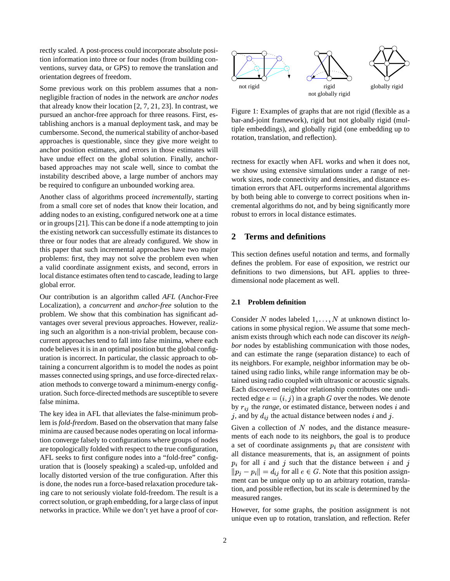rectly scaled. A post-process could incorporate absolute position information into three or four nodes (from building conventions, survey data, or GPS) to remove the translation and orientation degrees of freedom.

Some previous work on this problem assumes that a nonnegligible fraction of nodes in the network are *anchor nodes* that already know their location [2, 7, 21, 23]. In contrast, we pursued an anchor-free approach for three reasons. First, establishing anchors is a manual deployment task, and may be cumbersome. Second, the numerical stability of anchor-based approaches is questionable, since they give more weight to anchor position estimates, and errors in those estimates will have undue effect on the global solution. Finally, anchorbased approaches may not scale well, since to combat the instability described above, a large number of anchors may be required to configure an unbounded working area.

Another class of algorithms proceed *incrementally*, starting from a small core set of nodes that know their location, and adding nodes to an existing, configured network one at a time or in groups[21]. This can be done if a node attempting to join the existing network can successfully estimate its distances to three or four nodes that are already configured. We show in this paper that such incremental approaches have two major problems: first, they may not solve the problem even when a valid coordinate assignment exists, and second, errors in local distance estimates often tend to cascade, leading to large global error.

Our contribution is an algorithm called *AFL* (Anchor-Free Localization), a *concurrent* and *anchor-free* solution to the problem. We show that this combination has significant advantages over several previous approaches. However, realizing such an algorithm is a non-trivial problem, because concurrent approaches tend to fall into false minima, where each node believes it is in an optimal position but the global configuration is incorrect. In particular, the classic approach to obtaining a concurrent algorithm is to model the nodes as point masses connected using springs, and use force-directed relaxation methods to converge toward a minimum-energy configuration. Such force-directed methods are susceptible to severe false minima.

The key idea in AFL that alleviates the false-minimum problem is *fold-freedom*. Based on the observation that many false minima are caused because nodes operating on local information converge falsely to configurations where groups of nodes are topologically folded with respect to the true configuration, AFL seeks to first configure nodes into a "fold-free" configuration that is (loosely speaking) a scaled-up, unfolded and locally distorted version of the true configuration. After this is done, the nodes run a force-based relaxation procedure taking care to not seriously violate fold-freedom. The result is a correct solution, or graph embedding, for a large class of input networks in practice. While we don't yet have a proof of cor-



Figure 1: Examples of graphs that are not rigid (flexible as a bar-and-joint framework), rigid but not globally rigid (multiple embeddings), and globally rigid (one embedding up to rotation, translation, and reflection).

rectness for exactly when AFL works and when it does not, we show using extensive simulations under a range of network sizes, node connectivity and densities, and distance estimation errors that AFL outperforms incremental algorithms by both being able to converge to correct positions when incremental algorithms do not, and by being significantly more robust to errors in local distance estimates.

# **2 Terms and definitions**

This section defines useful notation and terms, and formally defines the problem. For ease of exposition, we restrict our definitions to two dimensions, but AFL applies to threedimensional node placement as well.

# **2.1 Problem definition**

Consider N nodes labeled  $1, \ldots, N$  at unknown distinct locations in some physical region. We assume that some mechanism exists through which each node can discover its *neighbor* nodes by establishing communication with those nodes, and can estimate the range (separation distance) to each of its neighbors. For example, neighbor information may be obtained using radio links, while range information may be obtained using radio coupled with ultrasonic or acoustic signals. Each discovered neighbor relationship contributes one undirected edge  $e = (i, j)$  in a graph  $G$  over the nodes. We denote by  $r_{ij}$  the *range*, or estimated distance, between nodes  $i$  and j, and by  $d_{ij}$  the actual distance between nodes i and j.

Given a collection of  $N$  nodes, and the distance measurements of each node to its neighbors, the goal is to produce a set of coordinate assignments  $p_i$  that are *consistent* with all distance measurements, that is, an assignment of points  $p_i$  for all i and j such that the distance between i and j  $||p_i - p_i|| = d_{ij}$  for all  $e \in G$ . Note that this position assignment can be unique only up to an arbitrary rotation, translation, and possible reflection, but its scale is determined by the measured ranges.

However, for some graphs, the position assignment is not unique even up to rotation, translation, and reflection. Refer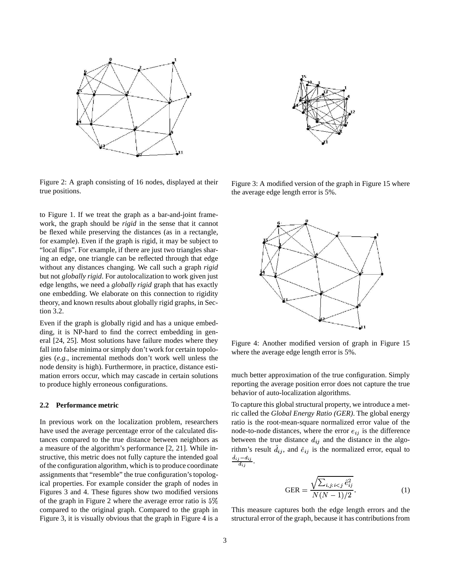

Figure 2: A graph consisting of 16 nodes, displayed at their true positions.

to Figure 1. If we treat the graph as a bar-and-joint framework, the graph should be *rigid* in the sense that it cannot be flexed while preserving the distances (as in a rectangle, for example). Even if the graph is rigid, it may be subject to "local flips". For example, if there are just two triangles sharing an edge, one triangle can be reflected through that edge without any distances changing. We call such a graph *rigid* but not *globally rigid*. For autolocalization to work given just edge lengths, we need a *globally rigid* graph that has exactly one embedding. We elaborate on this connection to rigidity theory, and known results about globally rigid graphs, in Section 3.2.

Even if the graph is globally rigid and has a unique embedding, it is NP-hard to find the correct embedding in general [24, 25]. Most solutions have failure modes where they fall into false minima or simply don't work for certain topologies (*e.g.*, incremental methods don't work well unless the node density is high). Furthermore, in practice, distance estimation errors occur, which may cascade in certain solutions to produce highly erroneous configurations.

## **2.2 Performance metric**

In previous work on the localization problem, researchers have used the average percentage error of the calculated distances compared to the true distance between neighbors as a measure of the algorithm's performance [2, 21]. While instructive, this metric does not fully capture the intended goal of the configuration algorithm, which is to produce coordinate assignments that "resemble" the true configuration's topological properties. For example consider the graph of nodes in Figures 3 and 4. These figures show two modified versions of the graph in Figure 2 where the average error ratio is  $5\%$ compared to the original graph. Compared to the graph in Figure 3, it is visually obvious that the graph in Figure 4 is a



Figure 3: A modified version of the graph in Figure 15 where the average edge length error is 5%.



Figure 4: Another modified version of graph in Figure 15 where the average edge length error is 5%.

much better approximation of the true configuration. Simply reporting the average position error does not capture the true behavior of auto-localization algorithms.

To capture this global structural property, we introduce a metric called the *Global Energy Ratio (GER)*. The global energy ratio is the root-mean-square normalized error value of the node-to-node distances, where the error  $e_{ij}$  is the difference between the true distance  $d_{ij}$  and the distance in the algorithm's result  $\hat{d}_{ij}$ , and  $\hat{e}_{ij}$  is the normalized error, equal to  $\frac{\hat{d}_{ij} - d_{ij}}{d_{ij}}$ .

$$
GER = \frac{\sqrt{\sum_{i,j:i < j} \hat{e}_{ij}^2}}{N(N-1)/2}.
$$
\n(1)

This measure captures both the edge length errors and the structural error of the graph, because it has contributionsfrom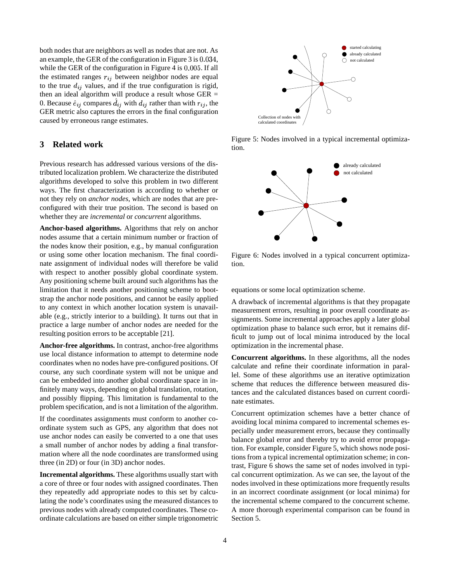both nodes that are neighbors as well as nodes that are not. As an example, the GER of the configuration in Figure 3 is  $0.034$ , while the GER of the configuration in Figure 4 is  $0.005$ . If all the estimated ranges  $r_{ij}$  between neighbor nodes are equal to the true  $d_{ij}$  values, and if the true configuration is rigid, then an ideal algorithm will produce a result whose GER = 0. Because  $\hat{e}_{ij}$  compares  $d_{ij}$  with  $d_{ij}$  rather than with  $r_{ij}$ , the GER metric also captures the errors in the final configuration caused by erroneous range estimates.

# **3 Related work**

Previous research has addressed various versions of the distributed localization problem. We characterize the distributed algorithms developed to solve this problem in two different ways. The first characterization is according to whether or not they rely on *anchor nodes*, which are nodes that are preconfigured with their true position. The second is based on whether they are *incremental* or *concurrent* algorithms.

**Anchor-based algorithms.** Algorithms that rely on anchor nodes assume that a certain minimum number or fraction of the nodes know their position, e.g., by manual configuration or using some other location mechanism. The final coordinate assignment of individual nodes will therefore be valid with respect to another possibly global coordinate system. Any positioning scheme built around such algorithms has the limitation that it needs another positioning scheme to bootstrap the anchor node positions, and cannot be easily applied to any context in which another location system is unavailable (e.g., strictly interior to a building). It turns out that in practice a large number of anchor nodes are needed for the resulting position errors to be acceptable [21].

**Anchor-free algorithms.** In contrast, anchor-free algorithms use local distance information to attempt to determine node coordinates when no nodes have pre-configured positions. Of course, any such coordinate system will not be unique and can be embedded into another global coordinate space in infinitely many ways, depending on global translation, rotation, and possibly flipping. This limitation is fundamental to the problem specification, and is not a limitation of the algorithm.

If the coordinates assignments must conform to another coordinate system such as GPS, any algorithm that does not use anchor nodes can easily be converted to a one that uses a small number of anchor nodes by adding a final transformation where all the node coordinates are transformed using three (in 2D) or four (in 3D) anchor nodes.

**Incremental algorithms.** These algorithms usually start with a core of three or four nodes with assigned coordinates. Then they repeatedly add appropriate nodes to this set by calculating the node's coordinates using the measured distances to previous nodes with already computed coordinates. These coordinate calculations are based on either simple trigonometric



Figure 5: Nodes involved in a typical incremental optimization.



Figure 6: Nodes involved in a typical concurrent optimization.

equations or some local optimization scheme.

A drawback of incremental algorithms is that they propagate measurement errors, resulting in poor overall coordinate assignments. Some incremental approaches apply a later global optimization phase to balance such error, but it remains difficult to jump out of local minima introduced by the local optimization in the incremental phase.

**Concurrent algorithms.** In these algorithms, all the nodes calculate and refine their coordinate information in parallel. Some of these algorithms use an iterative optimization scheme that reduces the difference between measured distances and the calculated distances based on current coordinate estimates.

Concurrent optimization schemes have a better chance of avoiding local minima compared to incremental schemes especially under measurement errors, because they continually balance global error and thereby try to avoid error propagation. For example, consider Figure 5, which shows node positions from a typical incremental optimization scheme; in contrast, Figure 6 shows the same set of nodes involved in typical concurrent optimization. As we can see, the layout of the nodes involved in these optimizations more frequently results in an incorrect coordinate assignment (or local minima) for the incremental scheme compared to the concurrent scheme. A more thorough experimental comparison can be found in Section 5.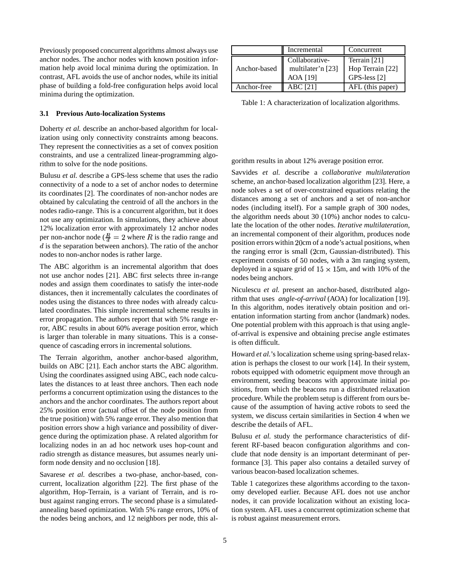Previously proposed concurrent algorithms almost always use anchor nodes. The anchor nodes with known position information help avoid local minima during the optimization. In contrast, AFL avoids the use of anchor nodes, while its initial phase of building a fold-free configuration helps avoid local minima during the optimization.

#### **3.1 Previous Auto-localization Systems**

Doherty *et al.* describe an anchor-based algorithm for localization using only connectivity constraints among beacons. They represent the connectivities as a set of convex position constraints, and use a centralized linear-programming algorithm to solve for the node positions.

Bulusu *et al.* describe a GPS-less scheme that uses the radio connectivity of a node to a set of anchor nodes to determine its coordinates [2]. The coordinates of non-anchor nodes are obtained by calculating the centroid of all the anchors in the nodes radio-range. This is a concurrent algorithm, but it does not use any optimization. In simulations, they achieve about 12% localization error with approximately 12 anchor nodes per non-anchor node ( $\frac{R}{d}$  = 2 where R is the radio range and  $d$  is the separation between anchors). The ratio of the anchor nodes to non-anchor nodes is rather large.

The ABC algorithm is an incremental algorithm that does not use anchor nodes [21]. ABC first selects three in-range nodes and assign them coordinates to satisfy the inter-node distances, then it incrementally calculates the coordinates of nodes using the distances to three nodes with already calculated coordinates. This simple incremental scheme results in error propagation. The authors report that with 5% range error, ABC results in about 60% average position error, which is larger than tolerable in many situations. This is a consequence of cascading errors in incremental solutions.

The Terrain algorithm, another anchor-based algorithm, builds on ABC [21]. Each anchor starts the ABC algorithm. Using the coordinates assigned using ABC, each node calculates the distances to at least three anchors. Then each node performs a concurrent optimization using the distances to the anchors and the anchor coordinates. The authors report about 25% position error (actual offset of the node position from the true position) with 5% range error. They also mention that position errors show a high variance and possibility of divergence during the optimization phase. A related algorithm for localizing nodes in an ad hoc network uses hop-count and radio strength as distance measures, but assumes nearly uniform node density and no occlusion [18].

Savarese *et al.* describes a two-phase, anchor-based, concurrent, localization algorithm [22]. The first phase of the algorithm, Hop-Terrain, is a variant of Terrain, and is robust against ranging errors. The second phase is a simulatedannealing based optimization. With 5% range errors, 10% of the nodes being anchors, and 12 neighbors per node, this al-

|              | Incremental       | Concurrent       |
|--------------|-------------------|------------------|
| Anchor-based | Collaborative-    | Terrain [21]     |
|              | multilater'n [23] | Hop Terrain [22] |
|              | AOA [19]          | GPS-less [2]     |
| Anchor-free  | ABC [21]          | AFL (this paper) |

Table 1: A characterization of localization algorithms.

gorithm results in about 12% average position error.

Savvides *et al.* describe a *collaborative multilateration* scheme, an anchor-based localization algorithm [23]. Here, a node solves a set of over-constrained equations relating the distances among a set of anchors and a set of non-anchor nodes (including itself). For a sample graph of 300 nodes, the algorithm needs about 30 (10%) anchor nodes to calculate the location of the other nodes. *Iterative multilateration*, an incremental component of their algorithm, produces node position errors within 20cm of a node's actual positions, when the ranging error is small (2cm, Gaussian-distributed). This experiment consists of 50 nodes, with a 3m ranging system, deployed in a square grid of  $15 \times 15$ m, and with 10% of the nodes being anchors.

Niculescu *et al.* present an anchor-based, distributed algorithm that uses *angle-of-arrival* (AOA) for localization [19]. In this algorithm, nodes iteratively obtain position and orientation information starting from anchor (landmark) nodes. One potential problem with this approach is that using angleof-arrival is expensive and obtaining precise angle estimates is often difficult.

Howard *et al.*'s localization scheme using spring-based relaxation is perhaps the closest to our work [14]. In their system, robots equipped with odometric equipment move through an environment, seeding beacons with approximate initial positions, from which the beacons run a distributed relaxation procedure. While the problem setup is different from ours because of the assumption of having active robots to seed the system, we discuss certain similarities in Section 4 when we describe the details of AFL.

Bulusu *et al.* study the performance characteristics of different RF-based beacon configuration algorithms and conclude that node density is an important determinant of performance [3]. This paper also contains a detailed survey of various beacon-based localization schemes.

Table 1 categorizes these algorithms according to the taxonomy developed earlier. Because AFL does not use anchor nodes, it can provide localization without an existing location system. AFL uses a concurrent optimization scheme that is robust against measurement errors.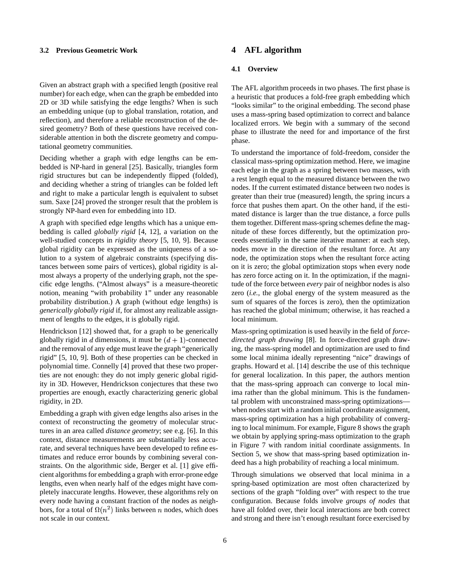## **3.2 Previous Geometric Work**

Given an abstract graph with a specified length (positive real number) for each edge, when can the graph be embedded into 2D or 3D while satisfying the edge lengths? When is such an embedding unique (up to global translation, rotation, and reflection), and therefore a reliable reconstruction of the desired geometry? Both of these questions have received considerable attention in both the discrete geometry and computational geometry communities.

Deciding whether a graph with edge lengths can be embedded is NP-hard in general [25]. Basically, triangles form rigid structures but can be independently flipped (folded), and deciding whether a string of triangles can be folded left and right to make a particular length is equivalent to subset sum. Saxe [24] proved the stronger result that the problem is strongly NP-hard even for embedding into 1D.

A graph with specified edge lengths which has a unique embedding is called *globally rigid* [4, 12], a variation on the well-studied concepts in *rigidity theory* [5, 10, 9]. Because global rigidity can be expressed as the uniqueness of a solution to a system of algebraic constraints (specifying distances between some pairs of vertices), global rigidity is almost always a property of the underlying graph, not the specific edge lengths. ("Almost always" is a measure-theoretic notion, meaning "with probability 1" under any reasonable probability distribution.) A graph (without edge lengths) is *generically globally rigid* if, for almost any realizable assignment of lengths to the edges, it is globally rigid.

Hendrickson [12] showed that, for a graph to be generically globally rigid in d dimensions, it must be  $(d + 1)$ -connected and the removal of any edge must leave the graph "generically rigid" [5, 10, 9]. Both of these properties can be checked in polynomial time. Connelly [4] proved that these two properties are not enough: they do not imply generic global rigidity in 3D. However, Hendrickson conjectures that these two properties are enough, exactly characterizing generic global rigidity, in 2D.

Embedding a graph with given edge lengths also arises in the context of reconstructing the geometry of molecular structures in an area called *distance geometry*; see e.g. [6]. In this context, distance measurements are substantially less accurate, and several techniques have been developed to refine estimates and reduce error bounds by combining several constraints. On the algorithmic side, Berger et al. [1] give efficient algorithms for embedding a graph with error-prone edge lengths, even when nearly half of the edges might have completely inaccurate lengths. However, these algorithms rely on every node having a constant fraction of the nodes as neighbors, for a total of  $\Omega(n^2)$  links between n nodes, which does not scale in our context.

# **4 AFL algorithm**

## **4.1 Overview**

The AFL algorithm proceeds in two phases. The first phase is a heuristic that produces a fold-free graph embedding which "looks similar" to the original embedding. The second phase uses a mass-spring based optimization to correct and balance localized errors. We begin with a summary of the second phase to illustrate the need for and importance of the first phase.

To understand the importance of fold-freedom, consider the classical mass-spring optimization method. Here, we imagine each edge in the graph as a spring between two masses, with a rest length equal to the measured distance between the two nodes. If the current estimated distance between two nodes is greater than their true (measured) length, the spring incurs a force that pushes them apart. On the other hand, if the estimated distance is larger than the true distance, a force pulls them together. Different mass-spring schemes define the magnitude of these forces differently, but the optimization proceeds essentially in the same iterative manner: at each step, nodes move in the direction of the resultant force. At any node, the optimization stops when the resultant force acting on it is zero; the global optimization stops when every node has zero force acting on it. In the optimization, if the magnitude of the force between *every* pair of neighbor nodes is also zero (*i.e.*, the global energy of the system measured as the sum of squares of the forces is zero), then the optimization has reached the global minimum; otherwise, it has reached a local minimum.

Mass-spring optimization is used heavily in the field of *forcedirected graph drawing* [8]. In force-directed graph drawing, the mass-spring model and optimization are used to find some local minima ideally representing "nice" drawings of graphs. Howard et al. [14] describe the use of this technique for general localization. In this paper, the authors mention that the mass-spring approach can converge to local minima rather than the global minimum. This is the fundamental problem with unconstrained mass-spring optimizations when nodes start with a random initial coordinate assignment, mass-spring optimization has a high probability of converging to local minimum. For example, Figure 8 shows the graph we obtain by applying spring-mass optimization to the graph in Figure 7 with random initial coordinate assignments. In Section 5, we show that mass-spring based optimization indeed has a high probability of reaching a local minimum.

Through simulations we observed that local minima in a spring-based optimization are most often characterized by sections of the graph "folding over" with respect to the true configuration. Because folds involve *groups of nodes* that have all folded over, their local interactions are both correct and strong and there isn't enough resultant force exercised by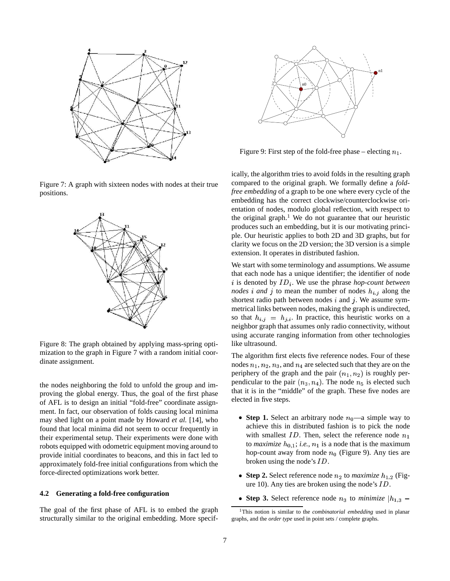

Figure 7: A graph with sixteen nodes with nodes at their true positions.



Figure 8: The graph obtained by applying mass-spring optimization to the graph in Figure 7 with a random initial coordinate assignment.

the nodes neighboring the fold to unfold the group and improving the global energy. Thus, the goal of the first phase of AFL is to design an initial "fold-free" coordinate assignment. In fact, our observation of folds causing local minima may shed light on a point made by Howard *et al.* [14], who found that local minima did not seem to occur frequently in their experimental setup. Their experiments were done with robots equipped with odometric equipment moving around to provide initial coordinates to beacons, and this in fact led to approximately fold-free initial configurations from which the force-directed optimizations work better.

### **4.2 Generating a fold-free configuration**

The goal of the first phase of AFL is to embed the graph structurally similar to the original embedding. More specif-



Figure 9: First step of the fold-free phase – electing  $n_1$ .

ically, the algorithm tries to avoid folds in the resulting graph compared to the original graph. We formally define a *foldfree embedding* of a graph to be one where every cycle of the embedding has the correct clockwise/counterclockwise orientation of nodes, modulo global reflection, with respect to the original graph.<sup>1</sup> We do not guarantee that our heuristic produces such an embedding, but it is our motivating principle. Our heuristic applies to both 2D and 3D graphs, but for clarity we focus on the 2D version; the 3D version is a simple extension. It operates in distributed fashion.

We start with some terminology and assumptions. We assume that each node has a unique identifier; the identifier of node i is denoted by  $ID_i$ . We use the phrase *hop-count between nodes i* and *j* to mean the number of nodes  $h_{i,j}$  along the shortest radio path between nodes  $i$  and  $j$ . We assume symmetrical links between nodes, making the graph is undirected, so that  $h_{i,j} = h_{j,i}$ . In practice, this heuristic works on a neighbor graph that assumes only radio connectivity, without using accurate ranging information from other technologies like ultrasound.

The algorithm first elects five reference nodes. Four of these nodes  $n_1, n_2, n_3$ , and  $n_4$  are selected such that they are on the periphery of the graph and the pair  $(n_1, n_2)$  is roughly perpendicular to the pair  $(n_3, n_4)$ . The node  $n_5$  is elected such that it is in the "middle" of the graph. These five nodes are elected in five steps.

- **Step 1.** Select an arbitrary node  $n_0$ —a simple way to achieve this in distributed fashion is to pick the node with smallest  $ID$ . Then, select the reference node  $n_1$ to *maximize*  $h_{0,1}$ ; *i.e.*,  $n_1$  is a node that is the maximum hop-count away from node  $n_0$  (Figure 9). Any ties are broken using the node's  $ID$ .
- Step 2. Select reference node  $n_2$  to *maximize*  $h_{1,2}$  (Figure 10). Any ties are broken using the node's  $ID$ .
- Step 3. Select reference node  $n_3$  to *minimize*  $|h_{1,3}$  –

<sup>1</sup>This notion is similar to the *combinatorial embedding* used in planar graphs, and the *order type* used in point sets / complete graphs.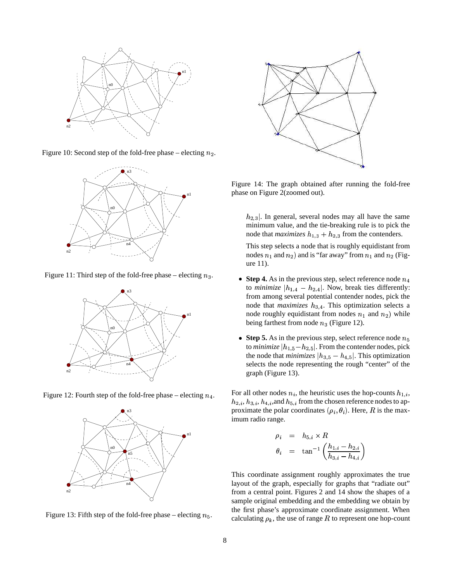

Figure 10: Second step of the fold-free phase – electing  $n_2$ .



Figure 11: Third step of the fold-free phase – electing  $n_3$ .



Figure 12: Fourth step of the fold-free phase – electing  $n_4$ .



Figure 13: Fifth step of the fold-free phase – electing  $n_5$ .



Figure 14: The graph obtained after running the fold-free phase on Figure 2(zoomed out).

 $h_{2,3}$ . In general, several nodes may all have the same minimum value, and the tie-breaking rule is to pick the node that *maximizes*  $h_{1,3} + h_{2,3}$  from the contenders.

This step selects a node that is roughly equidistant from nodes  $n_1$  and  $n_2$ ) and is "far away" from  $n_1$  and  $n_2$  (Figure 11).

- **Step 4.** As in the previous step, select reference node  $n$ to *minimize*  $|h_{1,4} - h_{2,4}|$ . Now, break ties differently: from among several potential contender nodes, pick the node that *maximizes*  $h_{3,4}$ . This optimization selects a node roughly equidistant from nodes  $n_1$  and  $n_2$ ) while being farthest from node  $n_3$  (Figure 12).
- **Step 5.** As in the previous step, select reference node  $n_5$ to  $\emph{minimize}~|h_{1,5} \!-\! h_{2,5}|.$  From the contender nodes, pick the node that *minimizes*  $|h_{3,5} - h_{4,5}|$ . This optimization selects the node representing the rough "center" of the graph (Figure 13).

For all other nodes  $n_i$ , the heuristic uses the hop-counts  $h_{1,i}$ ,  $h_{2,i}, h_{3,i}, h_{4,i},$  and  $h_{5,i}$  from the chosen reference nodes to approximate the polar coordinates  $(\rho_i, \theta_i)$ . Here, R is the maximum radio range.

$$
\rho_i = h_{5,i} \times R
$$
  
\n
$$
\theta_i = \tan^{-1}\left(\frac{h_{1,i} - h_{2,i}}{h_{3,i} - h_{4,i}}\right)
$$

This coordinate assignment roughly approximates the true layout of the graph, especially for graphs that "radiate out" from a central point. Figures 2 and 14 show the shapes of a sample original embedding and the embedding we obtain by the first phase's approximate coordinate assignment. When calculating  $\rho_k$ , the use of range R to represent one hop-count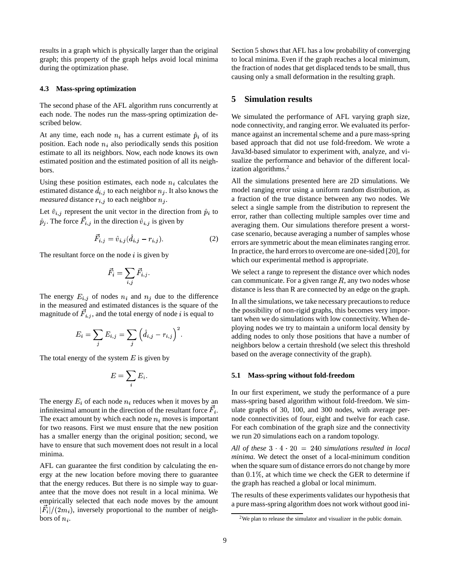results in a graph which is physically larger than the original graph; this property of the graph helps avoid local minima during the optimization phase.

## **4.3 Mass-spring optimization**

The second phase of the AFL algorithm runs concurrently at each node. The nodes run the mass-spring optimization described below.

At any time, each node  $n_i$  has a current estimate  $\hat{p}_i$  of its position. Each node  $n_i$  also periodically sends this position estimate to all its neighbors. Now, each node knows its own estimated position and the estimated position of all its neighbors.

Using these position estimates, each node  $n_i$  calculates the estimated distance  $d_{i,j}$  to each neighbor  $n_j$ . It also knows the *measured* distance  $r_{i,j}$  to each neighbor  $n_j$ .

Let  $\hat{v}_{i,j}$  represent the unit vector in the direction from  $\hat{p}_i$  to  $\hat{p}_j$ . The force  $F_{i,j}$  in the direction  $\hat{v}_{i,j}$  is given by the contract of the contract of the contract of the contract of the contract of the contract of the contract of

$$
\vec{F}_{i,j} = \hat{v}_{i,j} (\hat{d}_{i,j} - r_{i,j}).
$$
 (2)

The resultant force on the node  $i$  is given by

$$
\vec{F_i} = \sum_{i,j} \vec{F}_{i,j}.
$$

The energy  $E_{i,j}$  of nodes  $n_i$  and  $n_j$  due to the difference in the measured and estimated distances is the square of the magnitude of  $\vec{F}_{i,j}$ , and the total energy of node i is equal to

$$
E_i = \sum_j E_{i,j} = \sum_j \left( \hat{d}_{i,j} - r_{i,j} \right)^2.
$$

The total energy of the system  $E$  is given by

$$
E=\sum_i E_i.
$$

The energy  $E_i$  of each node  $n_i$  reduces when it moves by an infinitesimal amount in the direction of the resultant force  $F_i$ . The exact amount by which each node  $n_i$  moves is important for two reasons. First we must ensure that the new position has a smaller energy than the original position; second, we have to ensure that such movement does not result in a local minima.

AFL can guarantee the first condition by calculating the energy at the new location before moving there to guarantee that the energy reduces. But there is no simple way to guarantee that the move does not result in a local minima. We empirically selected that each node moves by the amount  $|F_i|/(2m_i)$ , inversely proportional to the number of neigh- bors of  $n_i$ .

Section 5 shows that AFL has a low probability of converging to local minima. Even if the graph reaches a local minimum, the fraction of nodes that get displaced tends to be small, thus causing only a small deformation in the resulting graph.

# **5 Simulation results**

We simulated the performance of AFL varying graph size, node connectivity, and ranging error. We evaluated its performance against an incremental scheme and a pure mass-spring based approach that did not use fold-freedom. We wrote a Java3d-based simulator to experiment with, analyze, and visualize the performance and behavior of the different localization algorithms.<sup>2</sup>

All the simulations presented here are 2D simulations. We model ranging error using a uniform random distribution, as a fraction of the true distance between any two nodes. We select a single sample from the distribution to represent the error, rather than collecting multiple samples over time and averaging them. Our simulations therefore present a worstcase scenario, because averaging a number of samples whose errors are symmetric about the mean eliminates ranging error. In practice, the hard errors to overcome are one-sided [20], for which our experimental method is appropriate.

We select a range to represent the distance over which nodes can communicate. For a given range  $R$ , any two nodes whose distance is less than R are connected by an edge on the graph.

In all the simulations, we take necessary precautionsto reduce the possibility of non-rigid graphs, this becomes very important when we do simulations with low connectivity. When deploying nodes we try to maintain a uniform local density by adding nodes to only those positions that have a number of neighbors below a certain threshold (we select this threshold based on the average connectivity of the graph).

### **5.1 Mass-spring without fold-freedom**

the contract of the contract of the contract of the contract of the contract of the contract of the contract of In our first experiment, we study the performance of a pure mass-spring based algorithm without fold-freedom. We simulate graphs of 30, 100, and 300 nodes, with average pernode connectivities of four, eight and twelve for each case. For each combination of the graph size and the connectivity we run 20 simulations each on a random topology.

All of these  $3 \cdot 4 \cdot 20 = 240$  simulations resulted in local *minima.* We detect the onset of a local-minimum condition when the square sum of distance errors do not change by more than  $0.1\%$ , at which time we check the GER to determine if the graph has reached a global or local minimum.

The results of these experiments validates our hypothesis that a pure mass-spring algorithm does not work without good ini-

 $2$ We plan to release the simulator and visualizer in the public domain.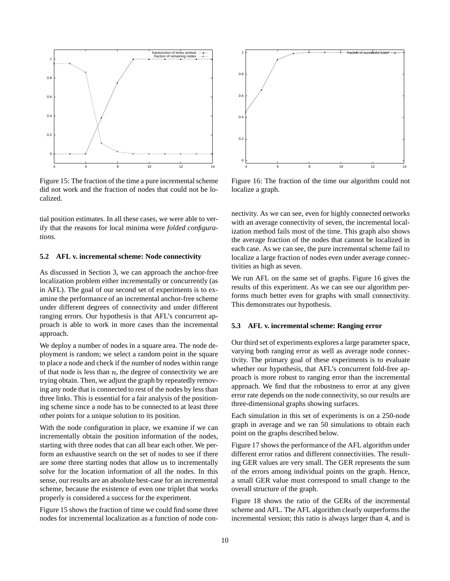

Figure 15: The fraction of the time a pure incremental scheme did not work and the fraction of nodes that could not be localized.

tial position estimates. In all these cases, we were able to verify that the reasons for local minima were *folded configurations.*

#### **5.2 AFL v. incremental scheme: Node connectivity**

As discussed in Section 3, we can approach the anchor-free localization problem either incrementally or concurrently (as in AFL). The goal of our second set of experiments is to examine the performance of an incremental anchor-free scheme under different degrees of connectivity and under different ranging errors. Our hypothesis is that AFL's concurrent approach is able to work in more cases than the incremental approach.

We deploy a number of nodes in a square area. The node deployment is random; we select a random point in the square to place a node and check if the number of nodes within range of that node is less than  $n$ , the degree of connectivity we are trying obtain. Then, we adjust the graph by repeatedly removing any node that is connected to rest of the nodes by less than three links. This is essential for a fair analysis of the positioning scheme since a node has to be connected to at least three other points for a unique solution to its position.

With the node configuration in place, we examine if we can incrementally obtain the position information of the nodes, starting with three nodes that can all hear each other. We perform an exhaustive search on the set of nodes to see if there are *some* three starting nodes that allow us to incrementally solve for the location information of all the nodes. In this sense, our results are an absolute best-case for an incremental scheme, because the existence of even one triplet that works properly is considered a success for the experiment.

Figure 15 shows the fraction of time we could find some three nodes for incremental localization as a function of node con-



Figure 16: The fraction of the time our algorithm could not localize a graph.

nectivity. As we can see, even for highly connected networks with an average connectivity of seven, the incremental localization method fails most of the time. This graph also shows the average fraction of the nodes that cannot be localized in each case. As we can see, the pure incremental scheme fail to localize a large fraction of nodes even under average connectivities as high as seven.

We run AFL on the same set of graphs. Figure 16 gives the results of this experiment. As we can see our algorithm performs much better even for graphs with small connectivity. This demonstrates our hypothesis.

#### **5.3 AFL v. incremental scheme: Ranging error**

Our third set of experiments explores a large parameter space, varying both ranging error as well as average node connectivity. The primary goal of these experiments is to evaluate whether our hypothesis, that AFL's concurrent fold-free approach is more robust to ranging error than the incremental approach. We find that the robustness to error at any given error rate depends on the node connectivity, so our results are three-dimensional graphs showing surfaces.

Each simulation in this set of experiments is on a 250-node graph in average and we ran 50 simulations to obtain each point on the graphs described below.

Figure 17 shows the performance of the AFL algorithm under different error ratios and different connectivities. The resulting GER values are very small. The GER represents the sum of the errors among individual points on the graph. Hence, a small GER value must correspond to small change to the overall structure of the graph.

Figure 18 shows the ratio of the GERs of the incremental scheme and AFL. The AFL algorithm clearly outperforms the incremental version; this ratio is always larger than 4, and is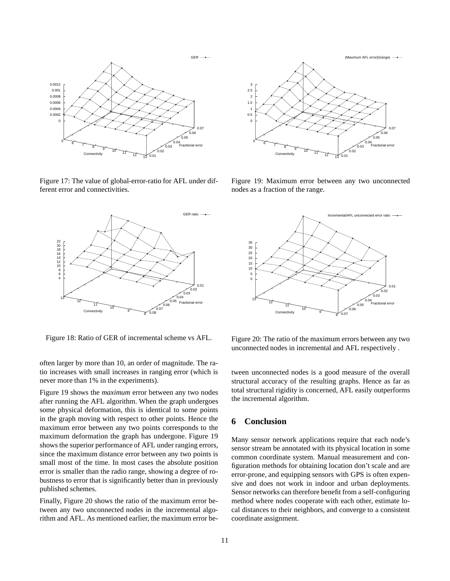

Figure 17: The value of global-error-ratio for AFL under different error and connectivities.



Figure 18: Ratio of GER of incremental scheme vs AFL.

often larger by more than 10, an order of magnitude. The ratio increases with small increases in ranging error (which is never more than 1% in the experiments).

Figure 19 shows the *maximum* error between any two nodes after running the AFL algorithm. When the graph undergoes some physical deformation, this is identical to some points in the graph moving with respect to other points. Hence the maximum error between any two points corresponds to the maximum deformation the graph has undergone. Figure 19 shows the superior performance of AFL under ranging errors, since the maximum distance error between any two points is small most of the time. In most cases the absolute position error is smaller than the radio range, showing a degree of robustness to error that is significantly better than in previously published schemes.

Finally, Figure 20 shows the ratio of the maximum error between any two unconnected nodes in the incremental algorithm and AFL. As mentioned earlier, the maximum error be-



Figure 19: Maximum error between any two unconnected nodes as a fraction of the range.



Figure 20: The ratio of the maximum errors between any two unconnected nodes in incremental and AFL respectively .

tween unconnected nodes is a good measure of the overall structural accuracy of the resulting graphs. Hence as far as total structural rigidity is concerned, AFL easily outperforms the incremental algorithm.

# **6 Conclusion**

Many sensor network applications require that each node's sensor stream be annotated with its physical location in some common coordinate system. Manual measurement and configuration methods for obtaining location don't scale and are error-prone, and equipping sensors with GPS is often expensive and does not work in indoor and urban deployments. Sensor networks can therefore benefit from a self-configuring method where nodes cooperate with each other, estimate local distances to their neighbors, and converge to a consistent coordinate assignment.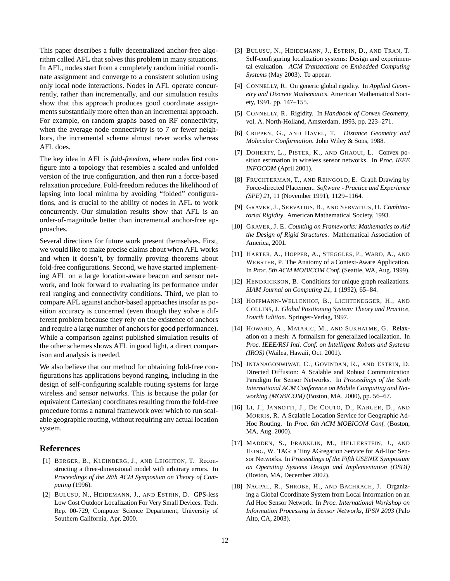This paper describes a fully decentralized anchor-free algorithm called AFL that solves this problem in many situations. In AFL, nodes start from a completely random initial coordinate assignment and converge to a consistent solution using only local node interactions. Nodes in AFL operate concurrently, rather than incrementally, and our simulation results show that this approach produces good coordinate assignments substantially more often than an incremental approach. For example, on random graphs based on RF connectivity, when the average node connectivity is to 7 or fewer neighbors, the incremental scheme almost never works whereas AFL does.

The key idea in AFL is *fold-freedom*, where nodes first configure into a topology that resembles a scaled and unfolded version of the true configuration, and then run a force-based relaxation procedure. Fold-freedom reduces the likelihood of lapsing into local minima by avoiding "folded" configurations, and is crucial to the ability of nodes in AFL to work concurrently. Our simulation results show that AFL is an order-of-magnitude better than incremental anchor-free approaches.

Several directions for future work present themselves. First, we would like to make precise claims about when AFL works and when it doesn't, by formally proving theorems about fold-free configurations. Second, we have started implementing AFL on a large location-aware beacon and sensor network, and look forward to evaluating its performance under real ranging and connectivity conditions. Third, we plan to compare AFL against anchor-based approachesinsofar as position accuracy is concerned (even though they solve a different problem because they rely on the existence of anchors and require a large number of anchors for good performance). While a comparison against published simulation results of the other schemes shows AFL in good light, a direct comparison and analysis is needed.

We also believe that our method for obtaining fold-free configurations has applications beyond ranging, including in the design of self-configuring scalable routing systems for large wireless and sensor networks. This is because the polar (or equivalent Cartesian) coordinates resulting from the fold-free procedure forms a natural framework over which to run scalable geographic routing, without requiring any actual location system.

# **References**

- [1] BERGER, B., KLEINBERG, J., AND LEIGHTON, T. Reconstructing a three-dimensional model with arbitrary errors. In *Proceedings of the 28th ACM Symposium on Theory of Computing* (1996).
- [2] BULUSU, N., HEIDEMANN, J., AND ESTRIN, D. GPS-less Low Cost Outdoor Localization For Very Small Devices. Tech. Rep. 00-729, Computer Science Department, University of Southern California, Apr. 2000.
- [3] BULUSU, N., HEIDEMANN, J., ESTRIN, D., AND TRAN, T. Self-configuring localization systems: Design and experimental evaluation. *ACM Transactions on Embedded Computing Systems* (May 2003). To appear.
- [4] CONNELLY, R. On generic global rigidity. In *Applied Geometry and Discrete Mathematics*. American Mathematical Society, 1991, pp. 147–155.
- [5] CONNELLY, R. Rigidity. In *Handbook of Convex Geometry*, vol. A. North-Holland, Amsterdam, 1993, pp. 223–271.
- [6] CRIPPEN, G., AND HAVEL, T. *Distance Geometry and Molecular Conformation*. John Wiley & Sons, 1988.
- [7] DOHERTY, L., PISTER, K., AND GHAOUI, L. Convex position estimation in wireless sensor networks. In *Proc. IEEE INFOCOM* (April 2001).
- [8] FRUCHTERMAN, T., AND REINGOLD, E. Graph Drawing by Force-directed Placement. *Software - Practice and Experience (SPE) 21*, 11 (November 1991), 1129–1164.
- [9] GRAVER, J., SERVATIUS, B., AND SERVATIUS, H. *Combinatorial Rigidity*. American Mathematical Society, 1993.
- [10] GRAVER, J. E. *Counting on Frameworks: Mathematics to Aid the Design of Rigid Structures*. Mathematical Association of America, 2001.
- [11] HARTER, A., HOPPER, A., STEGGLES, P., WARD, A., AND WEBSTER, P. The Anatomy of a Context-Aware Application. In *Proc. 5th ACM MOBICOM Conf.* (Seattle, WA, Aug. 1999).
- [12] HENDRICKSON, B. Conditions for unique graph realizations. *SIAM Journal on Computing 21*, 1 (1992), 65–84.
- [13] HOFFMANN-WELLENHOF, B., LICHTENEGGER, H., AND COLLINS, J. *Global Positioning System: Theory and Practice, Fourth Edition*. Springer-Verlag, 1997.
- [14] HOWARD, A., MATARIC, M., AND SUKHATME, G. Relaxation on a mesh: A formalism for generalized localization. In *Proc. IEEE/RSJ Intl. Conf. on Intelligent Robots and Systems (IROS)* (Wailea, Hawaii, Oct. 2001).
- [15] INTANAGONWIWAT, C., GOVINDAN, R., AND ESTRIN, D. Directed Diffusion: A Scalable and Robust Communication Paradigm for Sensor Networks. In *Proceedings of the Sixth International ACM Conference on Mobile Computing and Networking (MOBICOM)* (Boston, MA, 2000), pp. 56–67.
- [16] LI, J., JANNOTTI, J., DE COUTO, D., KARGER, D., AND MORRIS, R. A Scalable Location Service for Geographic Ad-Hoc Routing. In *Proc. 6th ACM MOBICOM Conf.* (Boston, MA, Aug. 2000).
- [17] MADDEN, S., FRANKLIN, M., HELLERSTEIN, J., AND HONG, W. TAG: a Tiny AGregation Service for Ad-Hoc Sensor Networks. In *Proceedings of the Fifth USENIX Symposium on Operating Systems Design and Implementation (OSDI)* (Boston, MA, December 2002).
- [18] NAGPAL, R., SHROBE, H., AND BACHRACH, J. Organizing a Global Coordinate System from Local Information on an Ad Hoc Sensor Network. In *Proc. International Workshop on Information Processing in Sensor Networks, IPSN 2003* (Palo Alto, CA, 2003).